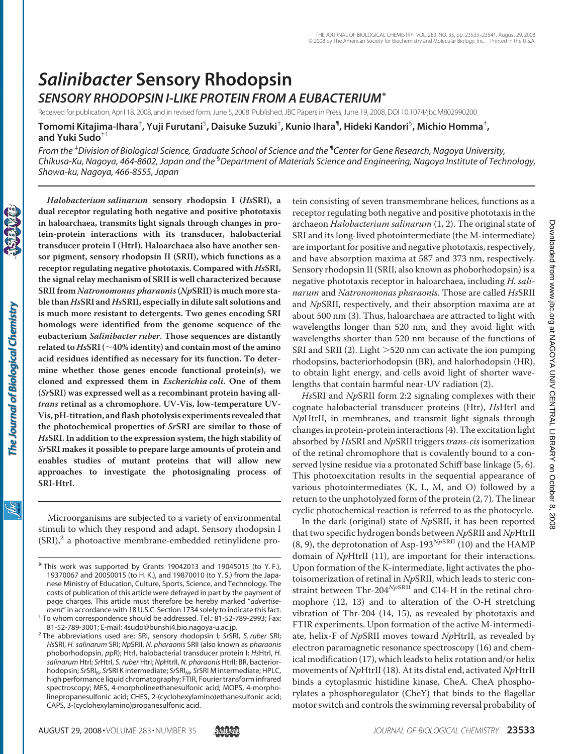# *Salinibacter* **Sensory Rhodopsin** *SENSORY RHODOPSIN I-LIKE PROTEIN FROM A EUBACTERIUM***\***

Received for publication, April 18, 2008, and in revised form, June 5, 2008 Published, JBC Papers in Press, June 19, 2008, DOI 10.1074/jbc.M802990200

**Tomomi Kitajima-Ihara**‡ **, Yuji Furutani**§ **, Daisuke Suzuki**‡ **, Kunio Ihara**¶ **, Hideki Kandori**§ **, Michio Homma**‡ **, and Yuki Sudo**‡1

*From the* ‡ *Division of Biological Science, Graduate School of Science and the* ¶ *Center for Gene Research, Nagoya University, Chikusa-Ku, Nagoya, 464-8602, Japan and the* § *Department of Materials Science and Engineering, Nagoya Institute of Technology, Showa-ku, Nagoya, 466-8555, Japan*

Ìбс

**dual receptor regulating both negative and positive phototaxis in haloarchaea, transmits light signals through changes in protein-protein interactions with its transducer, halobacterial transducer protein I (HtrI). Haloarchaea also have another sensor pigment, sensory rhodopsin II (SRII), which functions as a receptor regulating negative phototaxis. Compared with** *Hs***SRI, the signal relay mechanism of SRII is well characterized because SRII from** *Natronomonus pharaonis***(***Np***SRII) is much more stable than** *Hs***SRI and** *Hs***SRII, especially in dilute salt solutions and is much more resistant to detergents. Two genes encoding SRI homologs were identified from the genome sequence of the eubacterium** *Salinibacter ruber***. Those sequences are distantly** related to  $Hs$ **SRI** ( $\sim$  40% identity) and contain most of the amino **acid residues identified as necessary for its function. To determine whether those genes encode functional protein(s), we cloned and expressed them in** *Escherichia coli***. One of them (***Sr***SRI) was expressed well as a recombinant protein having all***trans* **retinal as a chromophore. UV-Vis, low-temperature UV-Vis, pH-titration, and flash photolysis experiments revealed that the photochemical properties of** *Sr***SRI are similar to those of** *Hs***SRI. In addition to the expression system, the high stability of** *Sr***SRI makes it possible to prepare large amounts of protein and enables studies of mutant proteins that will allow new approaches to investigate the photosignaling process of SRI-HtrI.**

*Halobacterium salinarum* **sensory rhodopsin I (***Hs***SRI), a**

Microorganisms are subjected to a variety of environmental stimuli to which they respond and adapt. Sensory rhodopsin I  $(SRI)<sup>2</sup>$  a photoactive membrane-embedded retinylidene protein consisting of seven transmembrane helices, functions as a receptor regulating both negative and positive phototaxis in the archaeon *Halobacterium salinarum* (1, 2). The original state of SRI and its long-lived photointermediate (the M-intermediate) are important for positive and negative phototaxis, respectively, and have absorption maxima at 587 and 373 nm, respectively. Sensory rhodopsin II (SRII, also known as phoborhodopsin) is a negative phototaxis receptor in haloarchaea, including *H. salinarum* and *Natronomonas pharaonis*. Those are called *Hs*SRII and *Np*SRII, respectively, and their absorption maxima are at about 500 nm (3). Thus, haloarchaea are attracted to light with wavelengths longer than 520 nm, and they avoid light with wavelengths shorter than 520 nm because of the functions of SRI and SRII (2). Light > 520 nm can activate the ion pumping rhodopsins, bacteriorhodopsin (BR), and halorhodopsin (HR), to obtain light energy, and cells avoid light of shorter wavelengths that contain harmful near-UV radiation (2).

*Hs*SRI and *Np*SRII form 2:2 signaling complexes with their cognate halobacterial transducer proteins (Htr), *Hs*HtrI and *Np*HtrII, in membranes, and transmit light signals through changes in protein-protein interactions (4). The excitation light absorbed by *Hs*SRI and *Np*SRII triggers *trans-cis* isomerization of the retinal chromophore that is covalently bound to a conserved lysine residue via a protonated Schiff base linkage (5, 6). This photoexcitation results in the sequential appearance of various photointermediates (K, L, M, and O) followed by a return to the unphotolyzed form of the protein (2, 7). The linear cyclic photochemical reaction is referred to as the photocycle.

In the dark (original) state of *Np*SRII, it has been reported that two specific hydrogen bonds between *Np*SRII and *Np*HtrII (8, 9), the deprotonation of Asp-193*Np*SRII (10) and the HAMP domain of *Np*HtrII (11), are important for their interactions. Upon formation of the K-intermediate, light activates the photoisomerization of retinal in *Np*SRII, which leads to steric constraint between Thr-204<sup>NpSRII</sup> and C14-H in the retinal chromophore (12, 13) and to alteration of the O-H stretching vibration of Thr-204 (14, 15), as revealed by phototaxis and FTIR experiments. Upon formation of the active M-intermediate, helix-F of *Np*SRII moves toward *Np*HtrII, as revealed by electron paramagnetic resonance spectroscopy (16) and chemical modification (17), which leads to helix rotation and/or helix movements of *Np*HtrII (18). At its distal end, activated *Np*HtrII binds a cytoplasmic histidine kinase, CheA. CheA phosphorylates a phosphoregulator (CheY) that binds to the flagellar motor switch and controls the swimming reversal probability of

<sup>\*</sup> This work was supported by Grants 19042013 and 19045015 (to Y. F.), 19370067 and 20050015 (to H. K.), and 19870010 (to Y. S.) from the Japanese Ministry of Education, Culture, Sports, Science, and Technology. The costs of publication of this article were defrayed in part by the payment of page charges. This article must therefore be hereby marked "*advertisement*" in accordance with 18 U.S.C. Section 1734 solely to indicate this fact. <sup>1</sup> To whom correspondence should be addressed. Tel.: 81-52-789-2993; Fax:

<sup>81-52-789-3001;</sup> E-mail: 4sudo@bunshi4.bio.nagoya-u.ac.jp. <sup>2</sup> The abbreviations used are: SRI, sensory rhodopsin I; *Sr*SRI, *S. ruber* SRI;

*Hs*SRI, *H. salinarum* SRI; *Np*SRII, *N. pharaonis* SRII (also known as *pharaonis* phoborhodopsin, *p*pR); HtrI, halobacterial transducer protein I; *Hs*HtrI, *H. salinarum* HtrI; *Sr*HtrI, *S. ruber* HtrI; *Np*HtrII, *N. pharaonis* HtrII; BR, bacteriorhodopsin; *Sr*SRIK, *Sr*SRI K intermediate; *Sr*SRIM, *Sr*SRI M intermediate; HPLC, high performance liquid chromatography; FTIR, Fourier transform infrared spectroscopy; MES, 4-morpholineethanesulfonic acid; MOPS, 4-morpholinepropanesulfonic acid; CHES, 2-(cyclohexylamino)ethanesulfonic acid; CAPS, 3-(cyclohexylamino)propanesulfonic acid.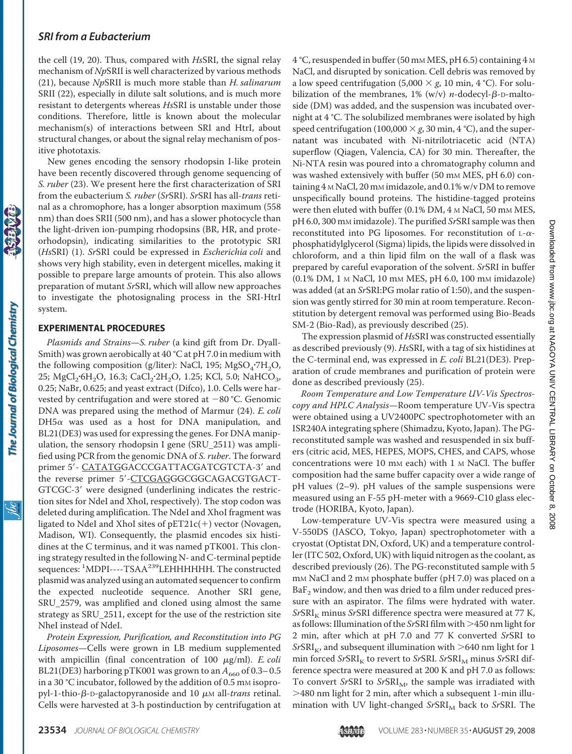the cell (19, 20). Thus, compared with *Hs*SRI, the signal relay mechanism of *Np*SRII is well characterized by various methods (21), because *Np*SRII is much more stable than *H. salinarum* SRII (22), especially in dilute salt solutions, and is much more resistant to detergents whereas *Hs*SRI is unstable under those conditions. Therefore, little is known about the molecular mechanism(s) of interactions between SRI and HtrI, about structural changes, or about the signal relay mechanism of positive phototaxis.

New genes encoding the sensory rhodopsin I-like protein have been recently discovered through genome sequencing of *S. ruber* (23). We present here the first characterization of SRI from the eubacterium *S. ruber* (*Sr*SRI). *Sr*SRI has all-*trans* retinal as a chromophore, has a longer absorption maximum (558 nm) than does SRII (500 nm), and has a slower photocycle than the light-driven ion-pumping rhodopsins (BR, HR, and proteorhodopsin), indicating similarities to the prototypic SRI (*Hs*SRI) (1). *Sr*SRI could be expressed in *Escherichia coli* and shows very high stability, even in detergent micelles, making it possible to prepare large amounts of protein. This also allows preparation of mutant *Sr*SRI, which will allow new approaches to investigate the photosignaling process in the SRI-HtrI system.

#### **EXPERIMENTAL PROCEDURES**

*Plasmids and Strains*—*S. ruber* (a kind gift from Dr. Dyall-Smith) was grown aerobically at 40 °C at pH 7.0 in medium with the following composition (g/liter): NaCl, 195; MgSO<sub>4</sub>·7H<sub>2</sub>O, 25; MgCl<sub>2</sub>·6H<sub>2</sub>O, 16.3; CaCl<sub>2</sub>·2H<sub>2</sub>O, 1.25; KCl, 5.0; NaHCO<sub>3</sub>, 0.25; NaBr, 0.625; and yeast extract (Difco), 1.0. Cells were harvested by centrifugation and were stored at  $-80$  °C. Genomic DNA was prepared using the method of Marmur (24). *E. coli*  $DH5\alpha$  was used as a host for DNA manipulation, and BL21(DE3) was used for expressing the genes. For DNA manipulation, the sensory rhodopsin I gene (SRU\_2511) was amplified using PCR from the genomic DNA of *S. ruber*. The forward primer 5'- CATATGGACCCGATTACGATCGTCTA-3' and the reverse primer 5'-CTCGAGGGCGGCAGACGTGACT-GTCGC-3' were designed (underlining indicates the restriction sites for NdeI and XhoI, respectively). The stop codon was deleted during amplification. The NdeI and XhoI fragment was ligated to NdeI and XhoI sites of  $pET21c(+)$  vector (Novagen, Madison, WI). Consequently, the plasmid encodes six histidines at the C terminus, and it was named pTK001. This cloning strategy resulted in the following N- and C-terminal peptide sequences: <sup>1</sup>MDPI----TSAA<sup>239</sup>LEHHHHHH. The constructed plasmid was analyzed using an automated sequencer to confirm the expected nucleotide sequence. Another SRI gene, SRU\_2579, was amplified and cloned using almost the same strategy as SRU\_2511, except for the use of the restriction site NheI instead of NdeI.

*Protein Expression, Purification, and Reconstitution into PG Liposomes*—Cells were grown in LB medium supplemented with ampicillin (final concentration of 100  $\mu$ g/ml). *E. coli* BL21(DE3) harboring pTK001 was grown to an  $A_{660}$  of 0.3–0.5 in a 30 °C incubator, followed by the addition of 0.5 mm isopropyl-1-thio-β-D-galactopyranoside and 10 μM all-*trans* retinal. Cells were harvested at 3-h postinduction by centrifugation at 4 °C, resuspended in buffer (50 mм MES, pH 6.5) containing 4 м NaCl, and disrupted by sonication. Cell debris was removed by a low speed centrifugation (5,000  $\times$  *g*, 10 min, 4 °C). For solubilization of the membranes,  $1\%$  (w/v) *n*-dodecyl- $\beta$ -D-maltoside (DM) was added, and the suspension was incubated overnight at 4 °C. The solubilized membranes were isolated by high speed centrifugation (100,000  $\times$  *g*, 30 min, 4 °C), and the supernatant was incubated with Ni-nitrilotriacetic acid (NTA) superflow (Qiagen, Valencia, CA) for 30 min. Thereafter, the Ni-NTA resin was poured into a chromatography column and was washed extensively with buffer (50 mm MES, pH 6.0) containing 4 M NaCl, 20 mM imidazole, and 0.1% w/v DM to remove unspecifically bound proteins. The histidine-tagged proteins were then eluted with buffer (0.1% DM, 4 M NaCl, 50 mM MES, pH 6.0, 300 mM imidazole). The purified *Sr*SRI sample was then reconstituted into PG liposomes. For reconstitution of  $L-\alpha$ phosphatidylglycerol (Sigma) lipids, the lipids were dissolved in chloroform, and a thin lipid film on the wall of a flask was prepared by careful evaporation of the solvent. *Sr*SRI in buffer (0.1% DM, 1 M NaCl, 10 mM MES, pH 6.0, 100 mM imidazole) was added (at an *Sr*SRI:PG molar ratio of 1:50), and the suspension was gently stirred for 30 min at room temperature. Reconstitution by detergent removal was performed using Bio-Beads SM-2 (Bio-Rad), as previously described (25).

The expression plasmid of *Hs*SRI was constructed essentially as described previously (9). *Hs*SRI, with a tag of six histidines at the C-terminal end, was expressed in *E. coli* BL21(DE3). Preparation of crude membranes and purification of protein were done as described previously (25).

*Room Temperature and Low Temperature UV-Vis Spectroscopy and HPLC Analysis*—Room temperature UV-Vis spectra were obtained using a UV2400PC spectrophotometer with an ISR240A integrating sphere (Shimadzu, Kyoto, Japan). The PGreconstituted sample was washed and resuspended in six buffers (citric acid, MES, HEPES, MOPS, CHES, and CAPS, whose concentrations were 10 mm each) with 1  $\text{M}$  NaCl. The buffer composition had the same buffer capacity over a wide range of pH values (2–9). pH values of the sample suspensions were measured using an F-55 pH-meter with a 9669-C10 glass electrode (HORIBA, Kyoto, Japan).

Low-temperature UV-Vis spectra were measured using a V-550DS (JASCO, Tokyo, Japan) spectrophotometer with a cryostat (Optistat DN, Oxford, UK) and a temperature controller (ITC 502, Oxford, UK) with liquid nitrogen as the coolant, as described previously (26). The PG-reconstituted sample with 5 m<sub>M</sub> NaCl and 2 m<sub>M</sub> phosphate buffer (pH 7.0) was placed on a  $BaF<sub>2</sub>$  window, and then was dried to a film under reduced pressure with an aspirator. The films were hydrated with water. *SrSRI<sub>K</sub>* minus *SrSRI* difference spectra were measured at 77 K, as follows: Illumination of the *Sr*SRI film with >450 nm light for 2 min, after which at pH 7.0 and 77 K converted *Sr*SRI to  $\rm SrSRI_{K}$ , and subsequent illumination with  $>$ 640 nm light for 1 min forced *SrSRI<sub>K</sub>* to revert to *SrSRI*. *SrSRI<sub>M</sub>* minus *SrSRI* difference spectra were measured at 200 K and pH 7.0 as follows: To convert *SrSRI* to *SrSRI<sub>M</sub>*, the sample was irradiated with -480 nm light for 2 min, after which a subsequent 1-min illumination with UV light-changed *SrSRI<sub>M</sub>* back to *SrSRI*. The

The Journal of Biological Chemistry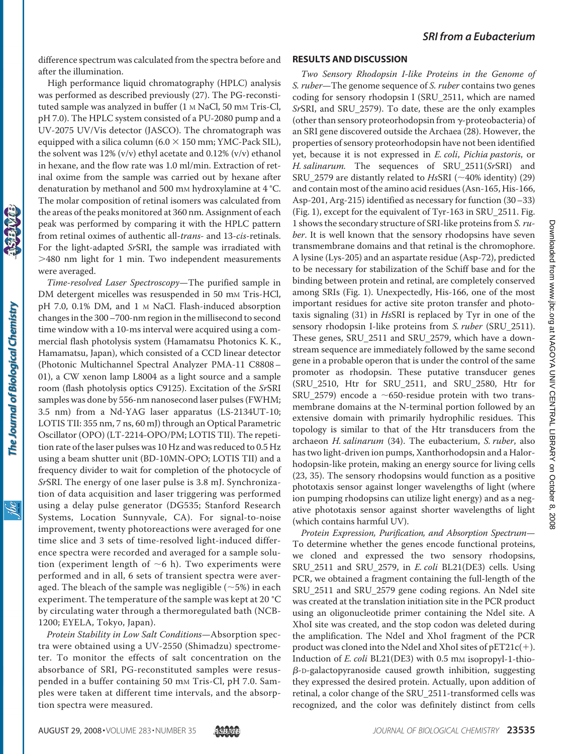difference spectrum was calculated from the spectra before and after the illumination.

High performance liquid chromatography (HPLC) analysis was performed as described previously (27). The PG-reconstituted sample was analyzed in buffer (1 M NaCl, 50 mM Tris-Cl, pH 7.0). The HPLC system consisted of a PU-2080 pump and a UV-2075 UV/Vis detector (JASCO). The chromatograph was equipped with a silica column (6.0  $\times$  150 mm; YMC-Pack SIL), the solvent was 12% (v/v) ethyl acetate and 0.12% (v/v) ethanol in hexane, and the flow rate was 1.0 ml/min. Extraction of retinal oxime from the sample was carried out by hexane after denaturation by methanol and 500 mm hydroxylamine at 4 °C. The molar composition of retinal isomers was calculated from the areas of the peaks monitored at 360 nm. Assignment of each peak was performed by comparing it with the HPLC pattern from retinal oximes of authentic all-*trans-* and 13-*cis*-retinals. For the light-adapted *Sr*SRI, the sample was irradiated with -480 nm light for 1 min. Two independent measurements were averaged.

*Time-resolved Laser Spectroscopy*—The purified sample in DM detergent micelles was resuspended in 50 mm Tris-HCl, pH 7.0, 0.1% DM, and 1 M NaCl. Flash-induced absorption changes in the 300–700-nm region in the millisecond to second time window with a 10-ms interval were acquired using a commercial flash photolysis system (Hamamatsu Photonics K. K., Hamamatsu, Japan), which consisted of a CCD linear detector (Photonic Multichannel Spectral Analyzer PMA-11 C8808– 01), a CW xenon lamp L8004 as a light source and a sample room (flash photolysis optics C9125). Excitation of the *Sr*SRI samples was done by 556-nm nanosecond laser pulses (FWHM; 3.5 nm) from a Nd-YAG laser apparatus (LS-2134UT-10; LOTIS TII: 355 nm, 7 ns, 60 mJ) through an Optical Parametric Oscillator (OPO) (LT-2214-OPO/PM; LOTIS TII). The repetition rate of the laser pulses was 10 Hz and was reduced to 0.5 Hz using a beam shutter unit (BD-10MN-OPO; LOTIS TII) and a frequency divider to wait for completion of the photocycle of *Sr*SRI. The energy of one laser pulse is 3.8 mJ. Synchronization of data acquisition and laser triggering was performed using a delay pulse generator (DG535; Stanford Research Systems, Location Sunnyvale, CA). For signal-to-noise improvement, twenty photoreactions were averaged for one time slice and 3 sets of time-resolved light-induced difference spectra were recorded and averaged for a sample solution (experiment length of  $\sim$ 6 h). Two experiments were performed and in all, 6 sets of transient spectra were averaged. The bleach of the sample was negligible  $(\sim 5\%)$  in each experiment. The temperature of the sample was kept at 20 °C by circulating water through a thermoregulated bath (NCB-1200; EYELA, Tokyo, Japan).

*Protein Stability in Low Salt Conditions*—Absorption spectra were obtained using a UV-2550 (Shimadzu) spectrometer. To monitor the effects of salt concentration on the absorbance of SRI, PG-reconstituted samples were resuspended in a buffer containing 50 mm Tris-Cl, pH 7.0. Samples were taken at different time intervals, and the absorption spectra were measured.

#### **RESULTS AND DISCUSSION**

*Two Sensory Rhodopsin I-like Proteins in the Genome of S. ruber*—The genome sequence of *S. ruber* contains two genes coding for sensory rhodopsin I (SRU\_2511, which are named *Sr*SRI, and SRU\_2579). To date, these are the only examples (other than sensory proteorhodopsin from  $\gamma$ -proteobacteria) of an SRI gene discovered outside the Archaea (28). However, the properties of sensory proteorhodopsin have not been identified yet, because it is not expressed in *E. coli*, *Pichia pastoris*, or *H. salinarum.* The sequences of SRU\_2511(*Sr*SRI) and SRU\_2579 are distantly related to  $H<sub>s</sub>$ SRI (~40% identity) (29) and contain most of the amino acid residues (Asn-165, His-166, Asp-201, Arg-215) identified as necessary for function (30–33) (Fig. 1), except for the equivalent of Tyr-163 in SRU\_2511. Fig. 1 shows the secondary structure of SRI-like proteins from *S. ruber*. It is well known that the sensory rhodopsins have seven transmembrane domains and that retinal is the chromophore. A lysine (Lys-205) and an aspartate residue (Asp-72), predicted to be necessary for stabilization of the Schiff base and for the binding between protein and retinal, are completely conserved among SRIs (Fig. 1). Unexpectedly, His-166, one of the most important residues for active site proton transfer and phototaxis signaling (31) in *Hs*SRI is replaced by Tyr in one of the sensory rhodopsin I-like proteins from *S. ruber* (SRU\_2511). These genes, SRU\_2511 and SRU\_2579, which have a downstream sequence are immediately followed by the same second gene in a probable operon that is under the control of the same promoter as rhodopsin. These putative transducer genes (SRU\_2510, Htr for SRU\_2511, and SRU\_2580, Htr for SRU\_2579) encode a  $\sim$  650-residue protein with two transmembrane domains at the N-terminal portion followed by an extensive domain with primarily hydrophilic residues. This topology is similar to that of the Htr transducers from the archaeon *H. salinarum* (34). The eubacterium, *S. ruber*, also has two light-driven ion pumps, Xanthorhodopsin and a Halorhodopsin-like protein, making an energy source for living cells (23, 35). The sensory rhodopsins would function as a positive phototaxis sensor against longer wavelengths of light (where ion pumping rhodopsins can utilize light energy) and as a negative phototaxis sensor against shorter wavelengths of light (which contains harmful UV).

*Protein Expression, Purification, and Absorption Spectrum*— To determine whether the genes encode functional proteins, we cloned and expressed the two sensory rhodopsins, SRU\_2511 and SRU\_2579, in *E. coli* BL21(DE3) cells. Using PCR, we obtained a fragment containing the full-length of the SRU\_2511 and SRU\_2579 gene coding regions. An NdeI site was created at the translation initiation site in the PCR product using an oligonucleotide primer containing the NdeI site. A XhoI site was created, and the stop codon was deleted during the amplification. The NdeI and XhoI fragment of the PCR product was cloned into the NdeI and XhoI sites of  $pET21c(+)$ . Induction of *E. coli* BL21(DE3) with 0.5 mm isopropyl-1-thio- $\beta$ -D-galactopyranoside caused growth inhibition, suggesting they expressed the desired protein. Actually, upon addition of retinal, a color change of the SRU\_2511-transformed cells was recognized, and the color was definitely distinct from cells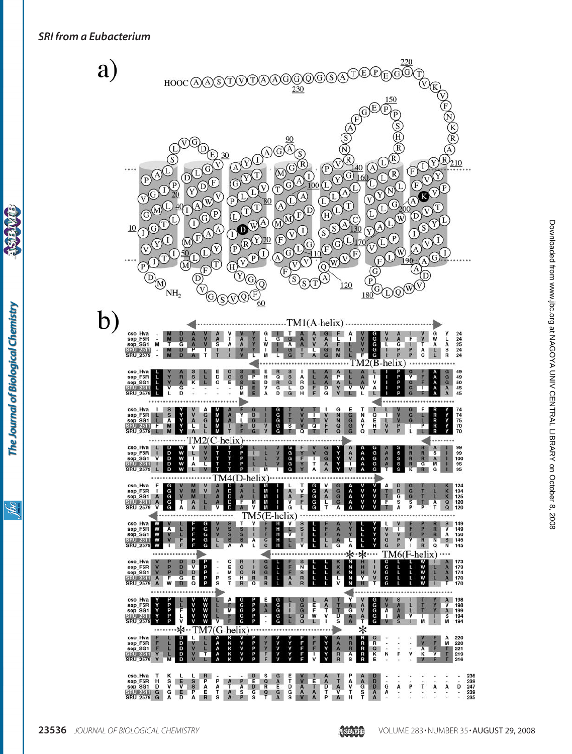a Sisinyis

The Journal of Biological Chemistry

**SSC** 

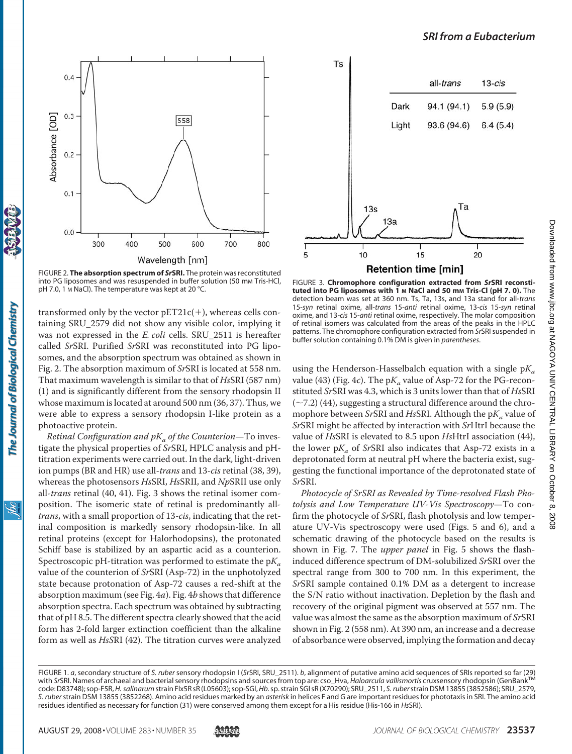

FIGURE 2. **The absorption spectrum of** *Sr***SRI.** The protein was reconstituted into PG liposomes and was resuspended in buffer solution (50 mm Tris-HCl, pH 7.0, 1 M NaCl). The temperature was kept at 20 °C.

transformed only by the vector  $pET21c(+)$ , whereas cells containing SRU\_2579 did not show any visible color, implying it was not expressed in the *E. coli* cells. SRU\_2511 is hereafter called *Sr*SRI. Purified *Sr*SRI was reconstituted into PG liposomes, and the absorption spectrum was obtained as shown in Fig. 2. The absorption maximum of *Sr*SRI is located at 558 nm. That maximum wavelength is similar to that of *Hs*SRI (587 nm) (1) and is significantly different from the sensory rhodopsin II whose maximum is located at around 500 nm (36, 37). Thus, we were able to express a sensory rhodopsin I-like protein as a photoactive protein.

*Retinal Configuration and pK<sub>a</sub> of the Counterion*—To investigate the physical properties of *Sr*SRI, HPLC analysis and pHtitration experiments were carried out. In the dark, light-driven ion pumps (BR and HR) use all-*trans* and 13-*cis* retinal (38, 39), whereas the photosensors *Hs*SRI, *Hs*SRII, and *Np*SRII use only all-*trans* retinal (40, 41). Fig. 3 shows the retinal isomer composition. The isomeric state of retinal is predominantly all*trans*, with a small proportion of 13-*cis*, indicating that the retinal composition is markedly sensory rhodopsin-like. In all retinal proteins (except for Halorhodopsins), the protonated Schiff base is stabilized by an aspartic acid as a counterion. Spectroscopic pH-titration was performed to estimate the  $pK_a$ value of the counterion of *Sr*SRI (Asp-72) in the unphotolyzed state because protonation of Asp-72 causes a red-shift at the absorption maximum (see Fig. 4*a*). Fig. 4*b* shows that difference absorption spectra. Each spectrum was obtained by subtracting that of pH 8.5. The different spectra clearly showed that the acid form has 2-fold larger extinction coefficient than the alkaline form as well as *HsS*RI (42). The titration curves were analyzed



FIGURE 3. **Chromophore configuration extracted from** *Sr***SRI reconstituted into PG liposomes with 1 M NaCl and 50 mM Tris-Cl (pH 7. 0).** The detection beam was set at 360 nm. Ts, Ta, 13s, and 13a stand for all-*trans* 15-*syn* retinal oxime, all-*trans* 15-*anti* retinal oxime, 13-*cis* 15-*syn* retinal oxime, and 13-*cis* 15-*anti* retinal oxime, respectively. The molar composition of retinal isomers was calculated from the areas of the peaks in the HPLC patterns. The chromophore configuration extracted from *Sr*SRI suspended in buffer solution containing 0.1% DM is given in *parentheses*.

using the Henderson-Hasselbalch equation with a single  $pK_a$ value (43) (Fig. 4*c*). The  $pK_a$  value of Asp-72 for the PG-reconstituted *Sr*SRI was 4.3, which is 3 units lower than that of *Hs*SRI  $(-7.2)$  (44), suggesting a structural difference around the chromophore between *SrSRI* and *HsSRI*. Although the p*K<sub>a</sub>* value of *Sr*SRI might be affected by interaction with *Sr*HtrI because the value of *Hs*SRI is elevated to 8.5 upon *Hs*HtrI association (44), the lower  $pK_a$  of *SrSRI* also indicates that Asp-72 exists in a deprotonated form at neutral pH where the bacteria exist, suggesting the functional importance of the deprotonated state of *Sr*SRI.

*Photocycle of SrSRI as Revealed by Time-resolved Flash Photolysis and Low Temperature UV-Vis Spectroscopy*—To confirm the photocycle of *Sr*SRI, flash photolysis and low temperature UV-Vis spectroscopy were used (Figs. 5 and 6), and a schematic drawing of the photocycle based on the results is shown in Fig. 7. The *upper panel* in Fig. 5 shows the flashinduced difference spectrum of DM-solubilized *Sr*SRI over the spectral range from 300 to 700 nm. In this experiment, the *Sr*SRI sample contained 0.1% DM as a detergent to increase the S/N ratio without inactivation. Depletion by the flash and recovery of the original pigment was observed at 557 nm. The value was almost the same as the absorption maximum of *Sr*SRI shown in Fig. 2 (558 nm). At 390 nm, an increase and a decrease of absorbance were observed, implying the formation and decay

FIGURE 1. *a*, secondary structure of *S. ruber* sensory rhodopsin I (*Sr*SRI, SRU\_2511). *b*, alignment of putative amino acid sequences of SRIs reported so far (29) with SrSRI. Names of archaeal and bacterial sensory rhodopsins and sources from top are: cso\_Hva, *Haloarcula vallismortis* cruxsensory rhodopsin (GenBank<sup>TM</sup> code: D83748); sop-F5R,*H. salinarum* strain Flx5R sR (L05603); sop-SGl,*Hb.*sp. strain SGI sR (X70290); SRU\_2511, *S. ruber*strain DSM 13855 (3852586); SRU\_2579, *S. ruber*strain DSM 13855 (3852268). Amino acid residues marked by an *asterisk* in helices F and G are important residues for phototaxis in SRI. The amino acid residues identified as necessary for function (31) were conserved among them except for a His residue (His-166 in *Hs*SRI).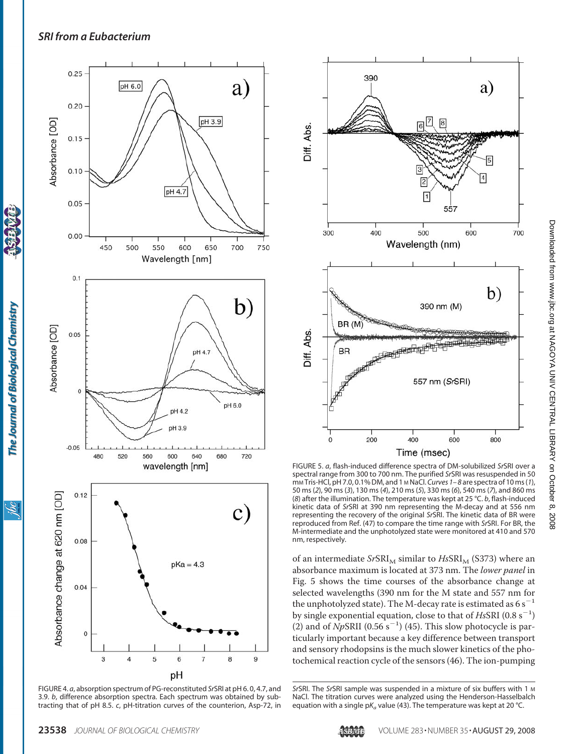

The Journal of Biological Chemistry

ibc

FIGURE 4. *a*, absorption spectrum of PG-reconstituted *Sr*SRI at pH 6. 0, 4.7, and 3.9. *b*, difference absorption spectra. Each spectrum was obtained by subtracting that of pH 8.5. *c*, pH-titration curves of the counterion, Asp-72, in



FIGURE 5. *a*, flash-induced difference spectra of DM-solubilized *Sr*SRI over a spectral range from 300 to 700 nm. The purified *Sr*SRI was resuspended in 50 mM Tris-HCl, pH 7.0, 0.1% DM, and 1 M NaCl. *Curves 1–8* are spectra of 10 ms (*1*), 50 ms (*2*), 90 ms (*3*), 130 ms (*4*), 210 ms (*5*), 330 ms (*6*), 540 ms (*7*), and 860 ms (*8*) after the illumination. The temperature was kept at 25 °C. *b*, flash-induced kinetic data of *Sr*SRI at 390 nm representing the M-decay and at 556 nm representing the recovery of the original *Sr*SRI. The kinetic data of BR were reproduced from Ref. (47) to compare the time range with *Sr*SRI. For BR, the M-intermediate and the unphotolyzed state were monitored at 410 and 570 nm, respectively.

of an intermediate *SrSRI<sub>M</sub>* similar to *HsSRI<sub>M</sub>* (S373) where an absorbance maximum is located at 373 nm. The *lower panel* in Fig. 5 shows the time courses of the absorbance change at selected wavelengths (390 nm for the M state and 557 nm for the unphotolyzed state). The M-decay rate is estimated as  $6 s^{-1}$ by single exponential equation, close to that of *HsSRI* (0.8 s<sup>-1</sup>) (2) and of  $NpSRII$  (0.56 s<sup>-1</sup>) (45). This slow photocycle is particularly important because a key difference between transport and sensory rhodopsins is the much slower kinetics of the photochemical reaction cycle of the sensors (46). The ion-pumping



*Sr*SRI. The *Sr*SRI sample was suspended in a mixture of six buffers with 1 M NaCl. The titration curves were analyzed using the Henderson-Hasselbalch equation with a single p $K_a$  value (43). The temperature was kept at 20 °C.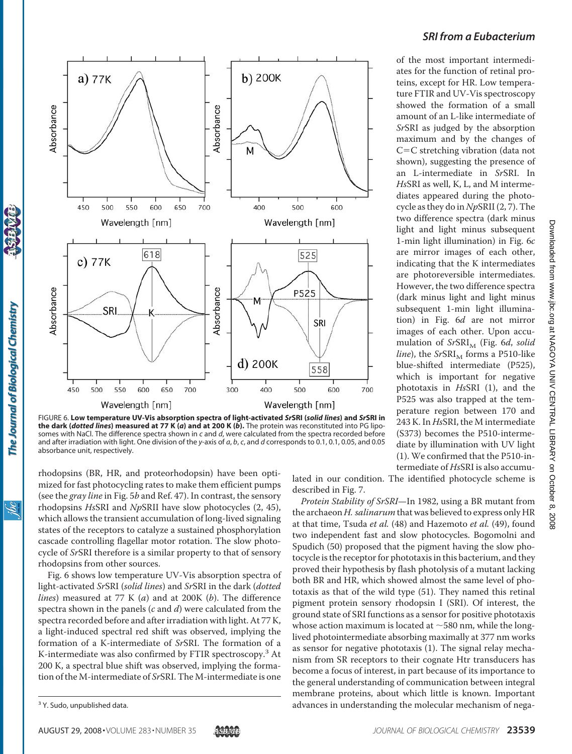

of the most important intermediates for the function of retinal proteins, except for HR. Low temperature FTIR and UV-Vis spectroscopy showed the formation of a small amount of an L-like intermediate of *Sr*SRI as judged by the absorption maximum and by the changes of  $C=C$  stretching vibration (data not shown), suggesting the presence of an L-intermediate in *Sr*SRI. In *Hs*SRI as well, K, L, and M intermediates appeared during the photocycle as they do in *Np*SRII (2, 7). The two difference spectra (dark minus light and light minus subsequent 1-min light illumination) in Fig. 6*c* are mirror images of each other, indicating that the K intermediates are photoreversible intermediates. However, the two difference spectra (dark minus light and light minus subsequent 1-min light illumination) in Fig. 6*d* are not mirror images of each other. Upon accumulation of *SrSRI<sub>M</sub>* (Fig. 6*d, solid*  $line$ ), the *SrSRI<sub>M</sub>* forms a P510-like blue-shifted intermediate (P525), which is important for negative phototaxis in *Hs*SRI (1), and the P525 was also trapped at the temperature region between 170 and 243 K. In *Hs*SRI, the M intermediate (S373) becomes the P510-intermediate by illumination with UV light (1). We confirmed that the P510-intermediate of *Hs*SRI is also accumu-

FIGURE 6. **Low temperature UV-Vis absorption spectra of light-activated** *Sr***SRI (***solid lines***) and** *Sr***SRI in the dark (***dotted lines***) measured at 77 K (***a***) and at 200 K (***b***).** The protein was reconstituted into PG liposomes with NaCl. The difference spectra shown in *c* and *d*, were calculated from the spectra recorded before and after irradiation with light. One division of the *y*-axis of *a*, *b*, *c*, and *d* corresponds to 0.1, 0.1, 0.05, and 0.05 absorbance unit, respectively.

rhodopsins (BR, HR, and proteorhodopsin) have been optimized for fast photocycling rates to make them efficient pumps (see the *gray line* in Fig. 5*b* and Ref. 47). In contrast, the sensory rhodopsins *Hs*SRI and *Np*SRII have slow photocycles (2, 45), which allows the transient accumulation of long-lived signaling states of the receptors to catalyze a sustained phosphorylation cascade controlling flagellar motor rotation. The slow photocycle of *Sr*SRI therefore is a similar property to that of sensory rhodopsins from other sources.

Fig. 6 shows low temperature UV-Vis absorption spectra of light-activated *Sr*SRI (*solid lines*) and *Sr*SRI in the dark (*dotted lines*) measured at 77 K (*a*) and at 200K (*b*). The difference spectra shown in the panels (*c* and *d*) were calculated from the spectra recorded before and after irradiation with light. At 77 K, a light-induced spectral red shift was observed, implying the formation of a K-intermediate of *Sr*SRI. The formation of a K-intermediate was also confirmed by FTIR spectroscopy.<sup>3</sup> At 200 K, a spectral blue shift was observed, implying the formation of the M-intermediate of *Sr*SRI. The M-intermediate is one

The Journal of Biological Chemistry

<u>івс</u>

lated in our condition. The identified photocycle scheme is described in Fig. 7.

*Protein Stability of SrSRI*—In 1982, using a BR mutant from the archaeon *H. salinarum* that was believed to express only HR at that time, Tsuda *et al.* (48) and Hazemoto *et al.* (49), found two independent fast and slow photocycles. Bogomolni and Spudich (50) proposed that the pigment having the slow photocycle is the receptor for phototaxis in this bacterium, and they proved their hypothesis by flash photolysis of a mutant lacking both BR and HR, which showed almost the same level of phototaxis as that of the wild type (51). They named this retinal pigment protein sensory rhodopsin I (SRI). Of interest, the ground state of SRI functions as a sensor for positive phototaxis whose action maximum is located at  $\sim$  580 nm, while the longlived photointermediate absorbing maximally at 377 nm works as sensor for negative phototaxis (1). The signal relay mechanism from SR receptors to their cognate Htr transducers has become a focus of interest, in part because of its importance to the general understanding of communication between integral membrane proteins, about which little is known. Important <sup>3</sup> Y. Sudo, unpublished data. **According the molecular mechanism of nega-** 3 Y. Sudo, unpublished data.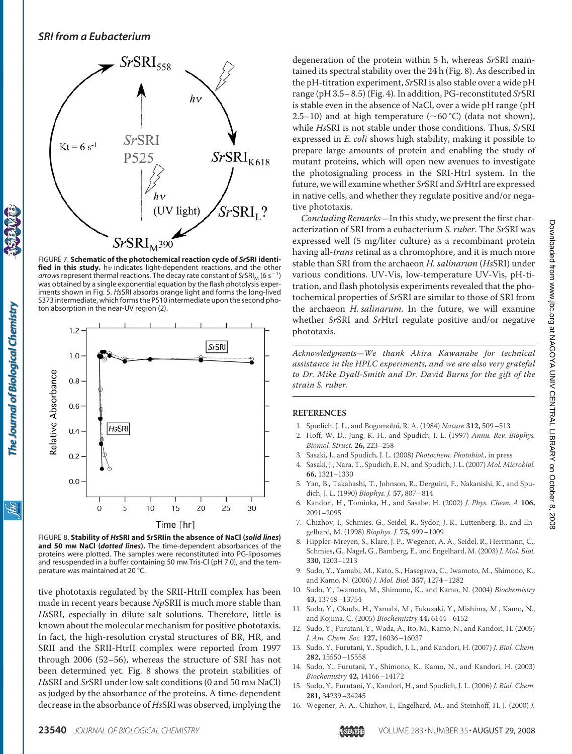

FIGURE 7. **Schematic of the photochemical reaction cycle of** *Sr***SRI identi**fied in this study. hv indicates light-dependent reactions, and the other arrows represent thermal reactions. The decay rate constant of *SrSRI<sub>M</sub>* (6 s<sup>-1</sup>) was obtained by a single exponential equation by the flash photolysis experiments shown in Fig. 5. *Hs*SRI absorbs orange light and forms the long-lived S373 intermediate, which forms the P510 intermediate upon the second photon absorption in the near-UV region (2).



FIGURE 8. **Stability of** *Hs***SRI and** *Sr***SRIin the absence of NaCl (***solid lines***) and 50 mM NaCl (***dotted lines***).** The time-dependent absorbances of the proteins were plotted. The samples were reconstituted into PG-liposomes and resuspended in a buffer containing 50 mm Tris-Cl (pH 7.0), and the temperature was maintained at 20 °C.

tive phototaxis regulated by the SRII-HtrII complex has been made in recent years because *Np*SRII is much more stable than *Hs*SRI, especially in dilute salt solutions. Therefore, little is known about the molecular mechanism for positive phototaxis. In fact, the high-resolution crystal structures of BR, HR, and SRII and the SRII-HtrII complex were reported from 1997 through 2006 (52–56), whereas the structure of SRI has not been determined yet. Fig. 8 shows the protein stabilities of *Hs*SRI and *Sr*SRI under low salt conditions (0 and 50 mM NaCl) as judged by the absorbance of the proteins. A time-dependent decrease in the absorbance of *Hs*SRI was observed, implying the

degeneration of the protein within 5 h, whereas *Sr*SRI maintained its spectral stability over the 24 h (Fig. 8). As described in the pH-titration experiment, *Sr*SRI is also stable over a wide pH range (pH 3.5– 8.5) (Fig. 4). In addition, PG-reconstituted *Sr*SRI is stable even in the absence of NaCl, over a wide pH range (pH 2.5–10) and at high temperature ( $\sim$  60 °C) (data not shown), while *Hs*SRI is not stable under those conditions. Thus, *Sr*SRI expressed in *E. coli* shows high stability, making it possible to prepare large amounts of protein and enabling the study of mutant proteins, which will open new avenues to investigate the photosignaling process in the SRI-HtrI system. In the future, we will examine whether *Sr*SRI and *Sr*HtrI are expressed in native cells, and whether they regulate positive and/or negative phototaxis.

*Concluding Remarks*—In this study, we present the first characterization of SRI from a eubacterium *S. ruber*. The *Sr*SRI was expressed well (5 mg/liter culture) as a recombinant protein having all-*trans* retinal as a chromophore, and it is much more stable than SRI from the archaeon *H. salinarum* (*Hs*SRI) under various conditions. UV-Vis, low-temperature UV-Vis, pH-titration, and flash photolysis experiments revealed that the photochemical properties of *Sr*SRI are similar to those of SRI from the archaeon *H. salinarum*. In the future, we will examine whether *Sr*SRI and *Sr*HtrI regulate positive and/or negative phototaxis.

*Acknowledgments—We thank Akira Kawanabe for technical assistance in the HPLC experiments, and we are also very grateful to Dr. Mike Dyall-Smith and Dr. David Burns for the gift of the strain S. ruber.*

### **REFERENCES**

- 1. Spudich, J. L., and Bogomolni, R. A. (1984) *Nature* **312,** 509–513
- 2. Hoff, W. D., Jung, K. H., and Spudich, J. L. (1997) *Annu. Rev. Biophys. Biomol. Struct.* **26,** 223–258
- 3. Sasaki, J., and Spudich, J. L. (2008) *Photochem. Photobiol.,* in press
- 4. Sasaki, J., Nara, T., Spudich, E. N., and Spudich, J. L. (2007) *Mol. Microbiol.* **66,** 1321–1330
- 5. Yan, B., Takahashi, T., Johnson, R., Derguini, F., Nakanishi, K., and Spudich, J. L. (1990) *Biophys. J.* **57,** 807–814
- 6. Kandori, H., Tomioka, H., and Sasabe, H. (2002) *J. Phys. Chem. A* **106,** 2091–2095
- 7. Chizhov, I., Schmies, G., Seidel, R., Sydor, J. R., Luttenberg, B., and Engelhard, M. (1998) *Biophys. J.* **75,** 999–1009
- 8. Hippler-Mreyen, S., Klare, J. P., Wegener, A. A., Seidel, R., Herrmann, C., Schmies, G., Nagel, G., Bamberg, E., and Engelhard, M. (2003) *J. Mol. Biol.* **330,** 1203–1213
- 9. Sudo, Y., Yamabi, M., Kato, S., Hasegawa, C., Iwamoto, M., Shimono, K., and Kamo, N. (2006) *J. Mol. Biol.* **357,** 1274–1282
- 10. Sudo, Y., Iwamoto, M., Shimono, K., and Kamo, N. (2004) *Biochemistry* **43,** 13748–13754
- 11. Sudo, Y., Okuda, H., Yamabi, M., Fukuzaki, Y., Mishima, M., Kamo, N., and Kojima, C. (2005) *Biochemistry* **44,** 6144–6152
- 12. Sudo, Y., Furutani, Y., Wada, A., Ito, M., Kamo, N., and Kandori, H. (2005) *J. Am. Chem. Soc.* **127,** 16036–16037
- 13. Sudo, Y., Furutani, Y., Spudich, J. L., and Kandori, H. (2007) *J. Biol. Chem.* **282,** 15550–15558
- 14. Sudo, Y., Furutani, Y., Shimono, K., Kamo, N., and Kandori, H. (2003) *Biochemistry* **42,** 14166–14172
- 15. Sudo, Y., Furutani, Y., Kandori, H., and Spudich, J. L. (2006) *J. Biol. Chem.* **281,** 34239–34245
- 16. Wegener, A. A., Chizhov, I., Engelhard, M., and Steinhoff, H. J. (2000) *J.*

The Journal of Biological Chemistry